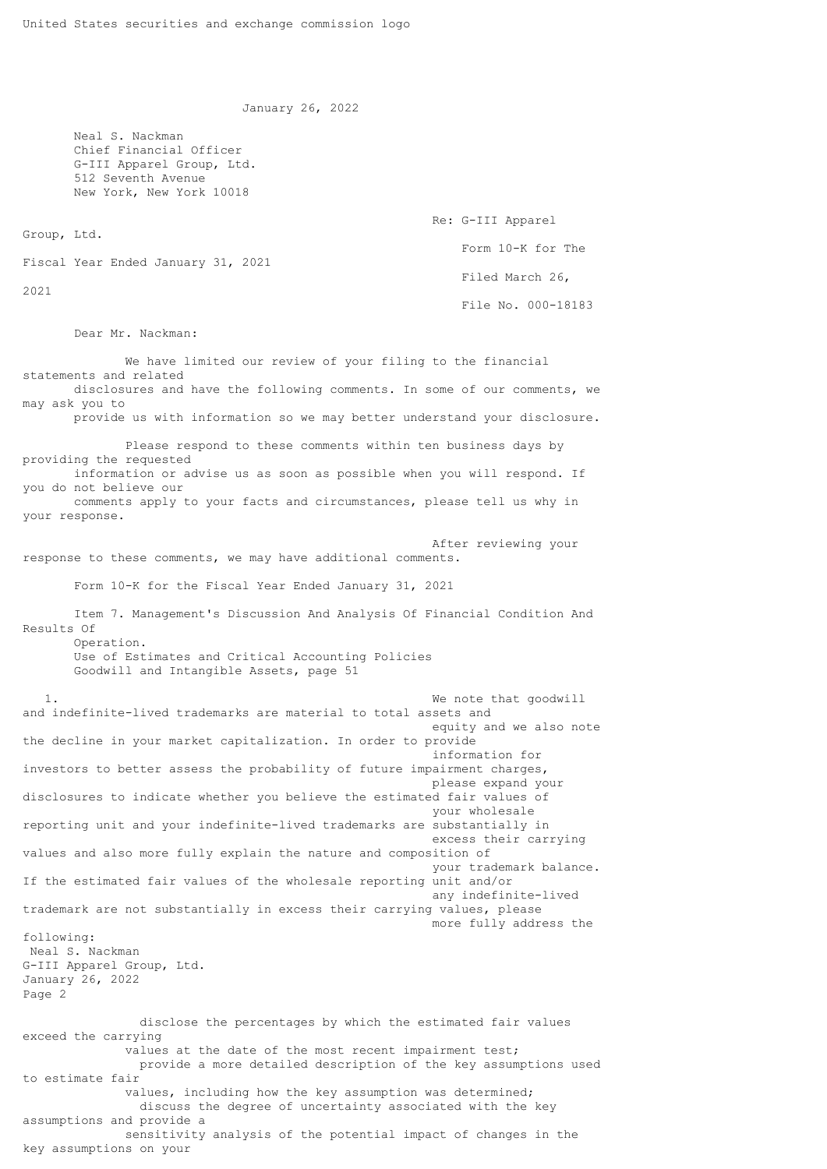January 26, 2022

 Neal S. Nackman Chief Financial Officer G-III Apparel Group, Ltd. 512 Seventh Avenue New York, New York 10018 Re: G-III Apparel Group, Ltd. Form 10-K for The Fiscal Year Ended January 31, 2021 Filed March 26, 2021 File No. 000-18183 Dear Mr. Nackman: We have limited our review of your filing to the financial statements and related disclosures and have the following comments. In some of our comments, we may ask you to provide us with information so we may better understand your disclosure. Please respond to these comments within ten business days by providing the requested information or advise us as soon as possible when you will respond. If you do not believe our comments apply to your facts and circumstances, please tell us why in your response. After reviewing your response to these comments, we may have additional comments. Form 10-K for the Fiscal Year Ended January 31, 2021 Item 7. Management's Discussion And Analysis Of Financial Condition And Results Of Operation. Use of Estimates and Critical Accounting Policies Goodwill and Intangible Assets, page 51 1. We note that goodwill and indefinite-lived trademarks are material to total assets and equity and we also note the decline in your market capitalization. In order to provide information for investors to better assess the probability of future impairment charges, please expand your disclosures to indicate whether you believe the estimated fair values of your wholesale reporting unit and your indefinite-lived trademarks are substantially in excess their carrying values and also more fully explain the nature and composition of your trademark balance. If the estimated fair values of the wholesale reporting unit and/or any indefinite-lived trademark are not substantially in excess their carrying values, please more fully address the following: Neal S. Nackman G-III Apparel Group, Ltd. January 26, 2022 Page 2 disclose the percentages by which the estimated fair values exceed the carrying values at the date of the most recent impairment test; provide a more detailed description of the key assumptions used to estimate fair values, including how the key assumption was determined; discuss the degree of uncertainty associated with the key assumptions and provide a sensitivity analysis of the potential impact of changes in the key assumptions on your